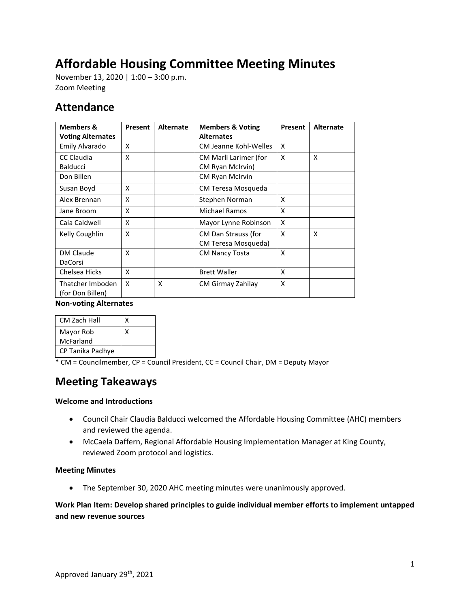# **Affordable Housing Committee Meeting Minutes**

November 13, 2020 | 1:00 – 3:00 p.m. Zoom Meeting

# **Attendance**

| <b>Members &amp;</b><br><b>Voting Alternates</b> | Present | <b>Alternate</b> | <b>Members &amp; Voting</b><br><b>Alternates</b> | Present                   | <b>Alternate</b> |
|--------------------------------------------------|---------|------------------|--------------------------------------------------|---------------------------|------------------|
| Emily Alvarado                                   | X       |                  | CM Jeanne Kohl-Welles                            | X                         |                  |
| CC Claudia                                       | X       |                  | CM Marli Larimer (for                            | X                         | X                |
| <b>Balducci</b>                                  |         |                  | CM Ryan McIrvin)                                 |                           |                  |
| Don Billen                                       |         |                  | CM Ryan McIrvin                                  |                           |                  |
| Susan Boyd                                       | x       |                  | CM Teresa Mosqueda                               |                           |                  |
| Alex Brennan                                     | X       |                  | Stephen Norman                                   | X                         |                  |
| Jane Broom                                       | X       |                  | Michael Ramos                                    | X                         |                  |
| Caia Caldwell                                    | X       |                  | Mayor Lynne Robinson                             | X                         |                  |
| Kelly Coughlin                                   | X       |                  | CM Dan Strauss (for<br>CM Teresa Mosqueda)       | $\boldsymbol{\mathsf{x}}$ | X                |
| DM Claude<br>DaCorsi                             | X       |                  | <b>CM Nancy Tosta</b>                            | X                         |                  |
| Chelsea Hicks                                    | X       |                  | <b>Brett Waller</b>                              | X                         |                  |
| Thatcher Imboden<br>(for Don Billen)             | X       | X                | CM Girmay Zahilay                                | X                         |                  |

**Non-voting Alternates**

| <b>CM Zach Hall</b> |  |
|---------------------|--|
| Mayor Rob           |  |
| McFarland           |  |
| CP Tanika Padhye    |  |

\* CM = Councilmember, CP = Council President, CC = Council Chair, DM = Deputy Mayor

# **Meeting Takeaways**

# **Welcome and Introductions**

- Council Chair Claudia Balducci welcomed the Affordable Housing Committee (AHC) members and reviewed the agenda.
- McCaela Daffern, Regional Affordable Housing Implementation Manager at King County, reviewed Zoom protocol and logistics.

# **Meeting Minutes**

• The September 30, 2020 AHC meeting minutes were unanimously approved.

# **Work Plan Item: Develop shared principles to guide individual member efforts to implement untapped and new revenue sources**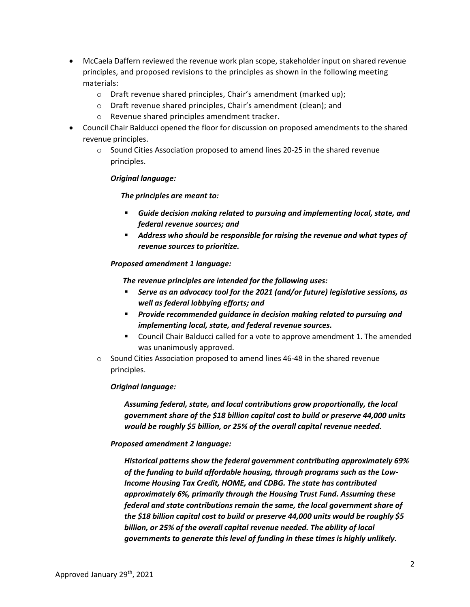- McCaela Daffern reviewed the revenue work plan scope, stakeholder input on shared revenue principles, and proposed revisions to the principles as shown in the following meeting materials:
	- o Draft revenue shared principles, Chair's amendment (marked up);
	- o Draft revenue shared principles, Chair's amendment (clean); and
	- o Revenue shared principles amendment tracker.
- Council Chair Balducci opened the floor for discussion on proposed amendments to the shared revenue principles.
	- o Sound Cities Association proposed to amend lines 20-25 in the shared revenue principles.

#### *Original language:*

#### *The principles are meant to:*

- *Guide decision making related to pursuing and implementing local, state, and federal revenue sources; and*
- *Address who should be responsible for raising the revenue and what types of revenue sources to prioritize.*

#### *Proposed amendment 1 language:*

*The revenue principles are intended for the following uses:* 

- *Serve as an advocacy tool for the 2021 (and/or future) legislative sessions, as well as federal lobbying efforts; and*
- *Provide recommended guidance in decision making related to pursuing and implementing local, state, and federal revenue sources.*
- Council Chair Balducci called for a vote to approve amendment 1. The amended was unanimously approved.
- $\circ$  Sound Cities Association proposed to amend lines 46-48 in the shared revenue principles.

# *Original language:*

*Assuming federal, state, and local contributions grow proportionally, the local government share of the \$18 billion capital cost to build or preserve 44,000 units would be roughly \$5 billion, or 25% of the overall capital revenue needed.* 

# *Proposed amendment 2 language:*

*Historical patterns show the federal government contributing approximately 69% of the funding to build affordable housing, through programs such as the Low-Income Housing Tax Credit, HOME, and CDBG. The state has contributed approximately 6%, primarily through the Housing Trust Fund. Assuming these federal and state contributions remain the same, the local government share of the \$18 billion capital cost to build or preserve 44,000 units would be roughly \$5 billion, or 25% of the overall capital revenue needed. The ability of local governments to generate this level of funding in these times is highly unlikely.*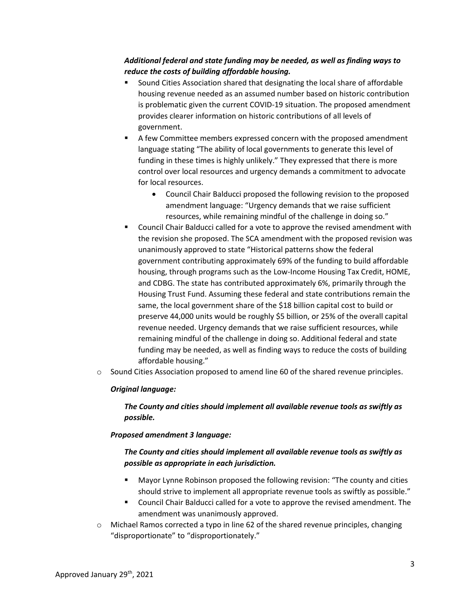# *Additional federal and state funding may be needed, as well as finding ways to reduce the costs of building affordable housing.*

- Sound Cities Association shared that designating the local share of affordable housing revenue needed as an assumed number based on historic contribution is problematic given the current COVID-19 situation. The proposed amendment provides clearer information on historic contributions of all levels of government.
- A few Committee members expressed concern with the proposed amendment language stating "The ability of local governments to generate this level of funding in these times is highly unlikely." They expressed that there is more control over local resources and urgency demands a commitment to advocate for local resources.
	- Council Chair Balducci proposed the following revision to the proposed amendment language: "Urgency demands that we raise sufficient resources, while remaining mindful of the challenge in doing so."
- Council Chair Balducci called for a vote to approve the revised amendment with the revision she proposed. The SCA amendment with the proposed revision was unanimously approved to state "Historical patterns show the federal government contributing approximately 69% of the funding to build affordable housing, through programs such as the Low-Income Housing Tax Credit, HOME, and CDBG. The state has contributed approximately 6%, primarily through the Housing Trust Fund. Assuming these federal and state contributions remain the same, the local government share of the \$18 billion capital cost to build or preserve 44,000 units would be roughly \$5 billion, or 25% of the overall capital revenue needed. Urgency demands that we raise sufficient resources, while remaining mindful of the challenge in doing so. Additional federal and state funding may be needed, as well as finding ways to reduce the costs of building affordable housing."
- $\circ$  Sound Cities Association proposed to amend line 60 of the shared revenue principles.

# *Original language:*

*The County and cities should implement all available revenue tools as swiftly as possible.*

# *Proposed amendment 3 language:*

# *The County and cities should implement all available revenue tools as swiftly as possible as appropriate in each jurisdiction.*

- Mayor Lynne Robinson proposed the following revision: "The county and cities should strive to implement all appropriate revenue tools as swiftly as possible."
- Council Chair Balducci called for a vote to approve the revised amendment. The amendment was unanimously approved.
- $\circ$  Michael Ramos corrected a typo in line 62 of the shared revenue principles, changing "disproportionate" to "disproportionately."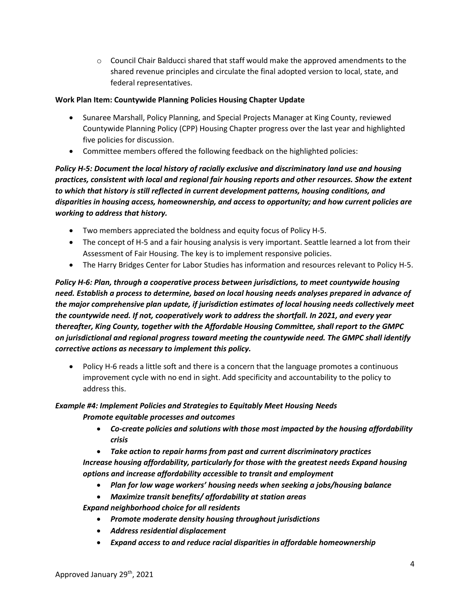$\circ$  Council Chair Balducci shared that staff would make the approved amendments to the shared revenue principles and circulate the final adopted version to local, state, and federal representatives.

# **Work Plan Item: Countywide Planning Policies Housing Chapter Update**

- Sunaree Marshall, Policy Planning, and Special Projects Manager at King County, reviewed Countywide Planning Policy (CPP) Housing Chapter progress over the last year and highlighted five policies for discussion.
- Committee members offered the following feedback on the highlighted policies:

*Policy H-5: Document the local history of racially exclusive and discriminatory land use and housing practices, consistent with local and regional fair housing reports and other resources. Show the extent to which that history is still reflected in current development patterns, housing conditions, and disparities in housing access, homeownership, and access to opportunity; and how current policies are working to address that history.*

- Two members appreciated the boldness and equity focus of Policy H-5.
- The concept of H-5 and a fair housing analysis is very important. Seattle learned a lot from their Assessment of Fair Housing. The key is to implement responsive policies.
- The Harry Bridges Center for Labor Studies has information and resources relevant to Policy H-5.

*Policy H-6: Plan, through a cooperative process between jurisdictions, to meet countywide housing need. Establish a process to determine, based on local housing needs analyses prepared in advance of the major comprehensive plan update, if jurisdiction estimates of local housing needs collectively meet the countywide need. If not, cooperatively work to address the shortfall. In 2021, and every year thereafter, King County, together with the Affordable Housing Committee, shall report to the GMPC on jurisdictional and regional progress toward meeting the countywide need. The GMPC shall identify corrective actions as necessary to implement this policy.*

• Policy H-6 reads a little soft and there is a concern that the language promotes a continuous improvement cycle with no end in sight. Add specificity and accountability to the policy to address this.

# *Example #4: Implement Policies and Strategies to Equitably Meet Housing Needs Promote equitable processes and outcomes*

- *Co-create policies and solutions with those most impacted by the housing affordability crisis*
- *Take action to repair harms from past and current discriminatory practices*

*Increase housing affordability, particularly for those with the greatest needs Expand housing options and increase affordability accessible to transit and employment* 

- *Plan for low wage workers' housing needs when seeking a jobs/housing balance*
- *Maximize transit benefits/ affordability at station areas*

*Expand neighborhood choice for all residents* 

- *Promote moderate density housing throughout jurisdictions*
- *Address residential displacement*
- *Expand access to and reduce racial disparities in affordable homeownership*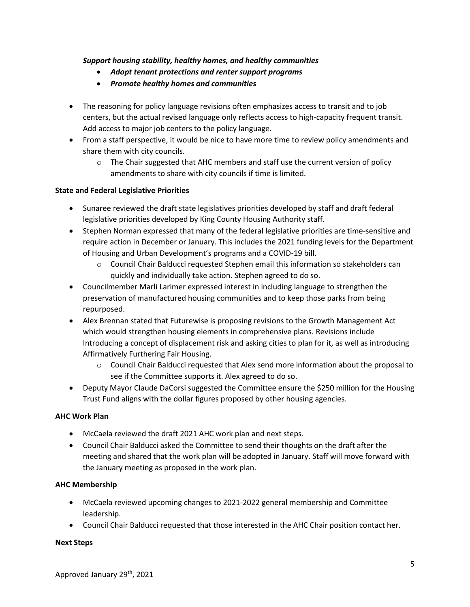# *Support housing stability, healthy homes, and healthy communities*

- *Adopt tenant protections and renter support programs*
- *Promote healthy homes and communities*
- The reasoning for policy language revisions often emphasizes access to transit and to job centers, but the actual revised language only reflects access to high-capacity frequent transit. Add access to major job centers to the policy language.
- From a staff perspective, it would be nice to have more time to review policy amendments and share them with city councils.
	- $\circ$  The Chair suggested that AHC members and staff use the current version of policy amendments to share with city councils if time is limited.

# **State and Federal Legislative Priorities**

- Sunaree reviewed the draft state legislatives priorities developed by staff and draft federal legislative priorities developed by King County Housing Authority staff.
- Stephen Norman expressed that many of the federal legislative priorities are time-sensitive and require action in December or January. This includes the 2021 funding levels for the Department of Housing and Urban Development's programs and a COVID-19 bill.
	- o Council Chair Balducci requested Stephen email this information so stakeholders can quickly and individually take action. Stephen agreed to do so.
- Councilmember Marli Larimer expressed interest in including language to strengthen the preservation of manufactured housing communities and to keep those parks from being repurposed.
- Alex Brennan stated that Futurewise is proposing revisions to the Growth Management Act which would strengthen housing elements in comprehensive plans. Revisions include Introducing a concept of displacement risk and asking cities to plan for it, as well as introducing Affirmatively Furthering Fair Housing.
	- o Council Chair Balducci requested that Alex send more information about the proposal to see if the Committee supports it. Alex agreed to do so.
- Deputy Mayor Claude DaCorsi suggested the Committee ensure the \$250 million for the Housing Trust Fund aligns with the dollar figures proposed by other housing agencies.

# **AHC Work Plan**

- McCaela reviewed the draft 2021 AHC work plan and next steps.
- Council Chair Balducci asked the Committee to send their thoughts on the draft after the meeting and shared that the work plan will be adopted in January. Staff will move forward with the January meeting as proposed in the work plan.

# **AHC Membership**

- McCaela reviewed upcoming changes to 2021-2022 general membership and Committee leadership.
- Council Chair Balducci requested that those interested in the AHC Chair position contact her.

# **Next Steps**